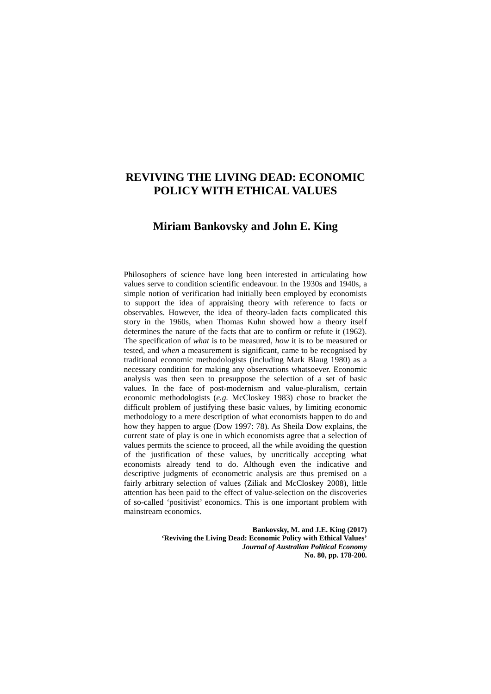# **REVIVING THE LIVING DEAD: ECONOMIC POLICY WITH ETHICAL VALUES**

# **Miriam Bankovsky and John E. King**

Philosophers of science have long been interested in articulating how values serve to condition scientific endeavour. In the 1930s and 1940s, a simple notion of verification had initially been employed by economists to support the idea of appraising theory with reference to facts or observables. However, the idea of theory-laden facts complicated this story in the 1960s, when Thomas Kuhn showed how a theory itself determines the nature of the facts that are to confirm or refute it (1962). The specification of *what* is to be measured, *how* it is to be measured or tested, and *when* a measurement is significant, came to be recognised by traditional economic methodologists (including Mark Blaug 1980) as a necessary condition for making any observations whatsoever. Economic analysis was then seen to presuppose the selection of a set of basic values. In the face of post-modernism and value-pluralism, certain economic methodologists (*e.g.* McCloskey 1983) chose to bracket the difficult problem of justifying these basic values, by limiting economic methodology to a mere description of what economists happen to do and how they happen to argue (Dow 1997: 78). As Sheila Dow explains, the current state of play is one in which economists agree that a selection of values permits the science to proceed, all the while avoiding the question of the justification of these values, by uncritically accepting what economists already tend to do. Although even the indicative and descriptive judgments of econometric analysis are thus premised on a fairly arbitrary selection of values (Ziliak and McCloskey 2008), little attention has been paid to the effect of value-selection on the discoveries of so-called 'positivist' economics. This is one important problem with mainstream economics.

> **Bankovsky, M. and J.E. King (2017) 'Reviving the Living Dead: Economic Policy with Ethical Values'**  *Journal of Australian Political Economy* **No. 80, pp. 178-200.**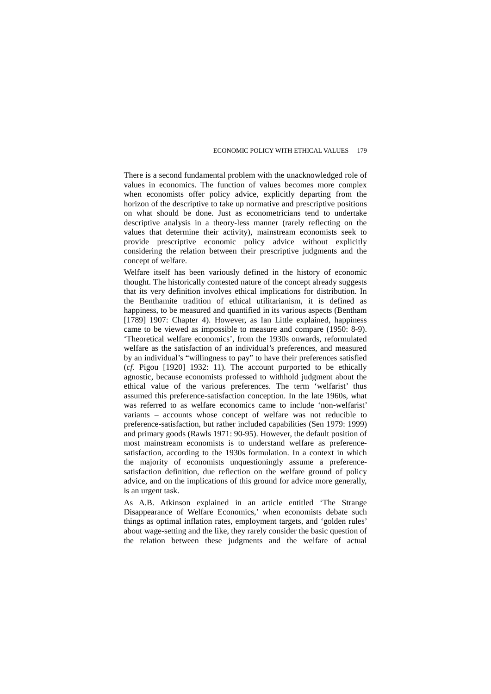There is a second fundamental problem with the unacknowledged role of values in economics. The function of values becomes more complex when economists offer policy advice, explicitly departing from the horizon of the descriptive to take up normative and prescriptive positions on what should be done. Just as econometricians tend to undertake descriptive analysis in a theory-less manner (rarely reflecting on the values that determine their activity), mainstream economists seek to provide prescriptive economic policy advice without explicitly considering the relation between their prescriptive judgments and the concept of welfare.

Welfare itself has been variously defined in the history of economic thought. The historically contested nature of the concept already suggests that its very definition involves ethical implications for distribution. In the Benthamite tradition of ethical utilitarianism, it is defined as happiness, to be measured and quantified in its various aspects (Bentham [1789] 1907: Chapter 4). However, as Ian Little explained, happiness came to be viewed as impossible to measure and compare (1950: 8-9). 'Theoretical welfare economics', from the 1930s onwards, reformulated welfare as the satisfaction of an individual's preferences, and measured by an individual's "willingness to pay" to have their preferences satisfied (*cf.* Pigou [1920] 1932: 11). The account purported to be ethically agnostic, because economists professed to withhold judgment about the ethical value of the various preferences. The term 'welfarist' thus assumed this preference-satisfaction conception. In the late 1960s, what was referred to as welfare economics came to include 'non-welfarist' variants – accounts whose concept of welfare was not reducible to preference-satisfaction, but rather included capabilities (Sen 1979: 1999) and primary goods (Rawls 1971: 90-95). However, the default position of most mainstream economists is to understand welfare as preferencesatisfaction, according to the 1930s formulation. In a context in which the majority of economists unquestioningly assume a preferencesatisfaction definition, due reflection on the welfare ground of policy advice, and on the implications of this ground for advice more generally, is an urgent task.

As A.B. Atkinson explained in an article entitled 'The Strange Disappearance of Welfare Economics,' when economists debate such things as optimal inflation rates, employment targets, and 'golden rules' about wage-setting and the like, they rarely consider the basic question of the relation between these judgments and the welfare of actual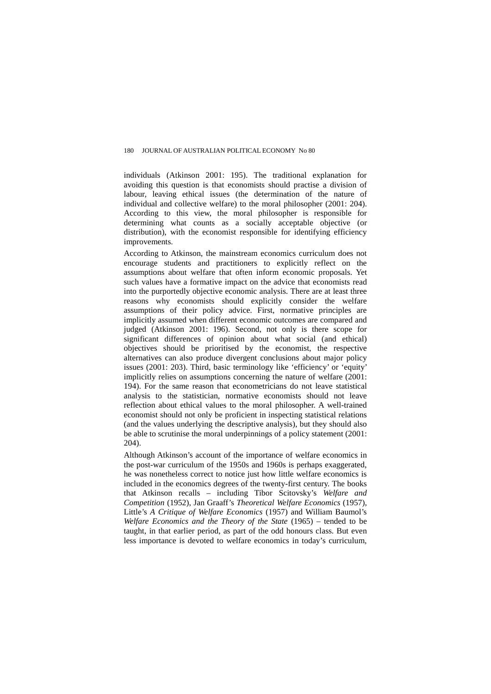individuals (Atkinson 2001: 195). The traditional explanation for avoiding this question is that economists should practise a division of labour, leaving ethical issues (the determination of the nature of individual and collective welfare) to the moral philosopher (2001: 204). According to this view, the moral philosopher is responsible for determining what counts as a socially acceptable objective (or distribution), with the economist responsible for identifying efficiency improvements.

According to Atkinson, the mainstream economics curriculum does not encourage students and practitioners to explicitly reflect on the assumptions about welfare that often inform economic proposals. Yet such values have a formative impact on the advice that economists read into the purportedly objective economic analysis. There are at least three reasons why economists should explicitly consider the welfare assumptions of their policy advice. First, normative principles are implicitly assumed when different economic outcomes are compared and judged (Atkinson 2001: 196). Second, not only is there scope for significant differences of opinion about what social (and ethical) objectives should be prioritised by the economist, the respective alternatives can also produce divergent conclusions about major policy issues (2001: 203). Third, basic terminology like 'efficiency' or 'equity' implicitly relies on assumptions concerning the nature of welfare (2001: 194). For the same reason that econometricians do not leave statistical analysis to the statistician, normative economists should not leave reflection about ethical values to the moral philosopher. A well-trained economist should not only be proficient in inspecting statistical relations (and the values underlying the descriptive analysis), but they should also be able to scrutinise the moral underpinnings of a policy statement (2001: 204).

Although Atkinson's account of the importance of welfare economics in the post-war curriculum of the 1950s and 1960s is perhaps exaggerated, he was nonetheless correct to notice just how little welfare economics is included in the economics degrees of the twenty-first century. The books that Atkinson recalls – including Tibor Scitovsky's *Welfare and Competition* (1952), Jan Graaff's *Theoretical Welfare Economics* (1957), Little's *A Critique of Welfare Economics* (1957) and William Baumol's *Welfare Economics and the Theory of the State* (1965) – tended to be taught, in that earlier period, as part of the odd honours class. But even less importance is devoted to welfare economics in today's curriculum,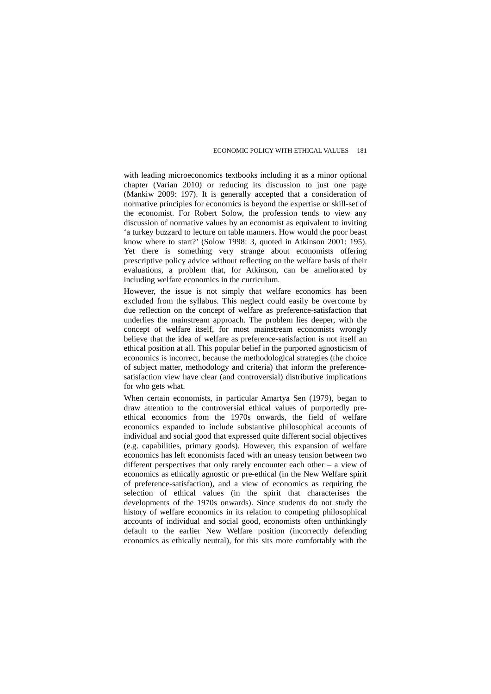with leading microeconomics textbooks including it as a minor optional chapter (Varian 2010) or reducing its discussion to just one page (Mankiw 2009: 197). It is generally accepted that a consideration of normative principles for economics is beyond the expertise or skill-set of the economist. For Robert Solow, the profession tends to view any discussion of normative values by an economist as equivalent to inviting 'a turkey buzzard to lecture on table manners. How would the poor beast know where to start?' (Solow 1998: 3, quoted in Atkinson 2001: 195). Yet there is something very strange about economists offering prescriptive policy advice without reflecting on the welfare basis of their evaluations, a problem that, for Atkinson, can be ameliorated by including welfare economics in the curriculum.

However, the issue is not simply that welfare economics has been excluded from the syllabus. This neglect could easily be overcome by due reflection on the concept of welfare as preference-satisfaction that underlies the mainstream approach. The problem lies deeper, with the concept of welfare itself, for most mainstream economists wrongly believe that the idea of welfare as preference-satisfaction is not itself an ethical position at all. This popular belief in the purported agnosticism of economics is incorrect, because the methodological strategies (the choice of subject matter, methodology and criteria) that inform the preferencesatisfaction view have clear (and controversial) distributive implications for who gets what.

When certain economists, in particular Amartya Sen (1979), began to draw attention to the controversial ethical values of purportedly preethical economics from the 1970s onwards, the field of welfare economics expanded to include substantive philosophical accounts of individual and social good that expressed quite different social objectives (e.g. capabilities, primary goods). However, this expansion of welfare economics has left economists faced with an uneasy tension between two different perspectives that only rarely encounter each other – a view of economics as ethically agnostic or pre-ethical (in the New Welfare spirit of preference-satisfaction), and a view of economics as requiring the selection of ethical values (in the spirit that characterises the developments of the 1970s onwards). Since students do not study the history of welfare economics in its relation to competing philosophical accounts of individual and social good, economists often unthinkingly default to the earlier New Welfare position (incorrectly defending economics as ethically neutral), for this sits more comfortably with the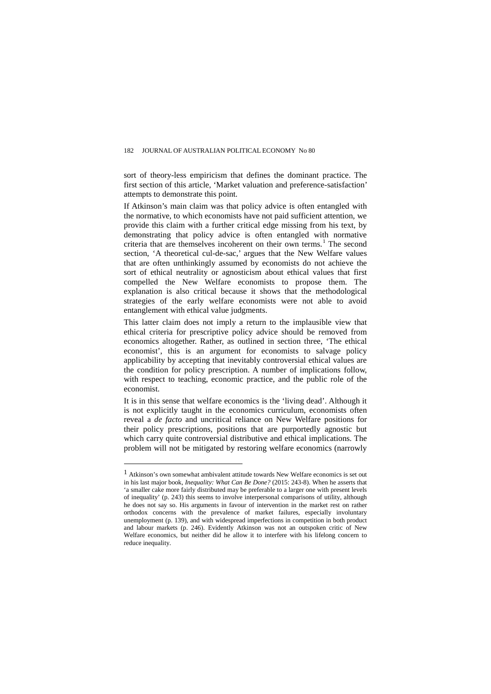sort of theory-less empiricism that defines the dominant practice. The first section of this article, 'Market valuation and preference-satisfaction' attempts to demonstrate this point.

If Atkinson's main claim was that policy advice is often entangled with the normative, to which economists have not paid sufficient attention, we provide this claim with a further critical edge missing from his text, by demonstrating that policy advice is often entangled with normative criteria that are themselves incoherent on their own terms.<sup>[1](#page-4-0)</sup> The second section, 'A theoretical cul-de-sac,' argues that the New Welfare values that are often unthinkingly assumed by economists do not achieve the sort of ethical neutrality or agnosticism about ethical values that first compelled the New Welfare economists to propose them. The explanation is also critical because it shows that the methodological strategies of the early welfare economists were not able to avoid entanglement with ethical value judgments.

This latter claim does not imply a return to the implausible view that ethical criteria for prescriptive policy advice should be removed from economics altogether. Rather, as outlined in section three, 'The ethical economist', this is an argument for economists to salvage policy applicability by accepting that inevitably controversial ethical values are the condition for policy prescription. A number of implications follow, with respect to teaching, economic practice, and the public role of the economist.

It is in this sense that welfare economics is the 'living dead'. Although it is not explicitly taught in the economics curriculum, economists often reveal a *de facto* and uncritical reliance on New Welfare positions for their policy prescriptions, positions that are purportedly agnostic but which carry quite controversial distributive and ethical implications. The problem will not be mitigated by restoring welfare economics (narrowly

<span id="page-4-0"></span><sup>1</sup> Atkinson's own somewhat ambivalent attitude towards New Welfare economics is set out in his last major book, *Inequality: What Can Be Done?* (2015: 243-8). When he asserts that 'a smaller cake more fairly distributed may be preferable to a larger one with present levels of inequality' (p. 243) this seems to involve interpersonal comparisons of utility, although he does not say so. His arguments in favour of intervention in the market rest on rather orthodox concerns with the prevalence of market failures, especially involuntary unemployment (p. 139), and with widespread imperfections in competition in both product and labour markets (p. 246). Evidently Atkinson was not an outspoken critic of New Welfare economics, but neither did he allow it to interfere with his lifelong concern to reduce inequality.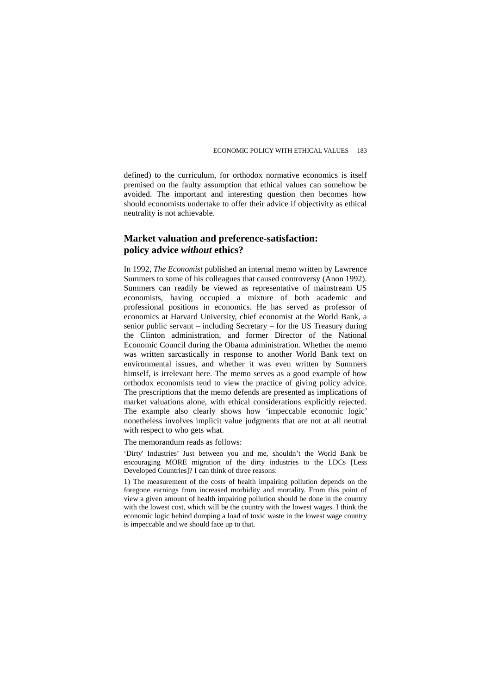defined) to the curriculum, for orthodox normative economics is itself premised on the faulty assumption that ethical values can somehow be avoided. The important and interesting question then becomes how should economists undertake to offer their advice if objectivity as ethical neutrality is not achievable.

# **Market valuation and preference-satisfaction: policy advice** *without* **ethics?**

In 1992, *The Economist* published an internal memo written by Lawrence Summers to some of his colleagues that caused controversy (Anon 1992). Summers can readily be viewed as representative of mainstream US economists, having occupied a mixture of both academic and professional positions in economics. He has served as professor of economics at Harvard University, chief economist at the World Bank, a senior public servant – including Secretary – for the US Treasury during the Clinton administration, and former Director of the National Economic Council during the Obama administration. Whether the memo was written sarcastically in response to another World Bank text on environmental issues, and whether it was even written by Summers himself, is irrelevant here. The memo serves as a good example of how orthodox economists tend to view the practice of giving policy advice. The prescriptions that the memo defends are presented as implications of market valuations alone, with ethical considerations explicitly rejected. The example also clearly shows how 'impeccable economic logic' nonetheless involves implicit value judgments that are not at all neutral with respect to who gets what.

The memorandum reads as follows:

'Dirty' Industries' Just between you and me, shouldn't the World Bank be encouraging MORE migration of the dirty industries to the LDCs [Less Developed Countries]? I can think of three reasons:

1) The measurement of the costs of health impairing pollution depends on the foregone earnings from increased morbidity and mortality. From this point of view a given amount of health impairing pollution should be done in the country with the lowest cost, which will be the country with the lowest wages. I think the economic logic behind dumping a load of toxic waste in the lowest wage country is impeccable and we should face up to that.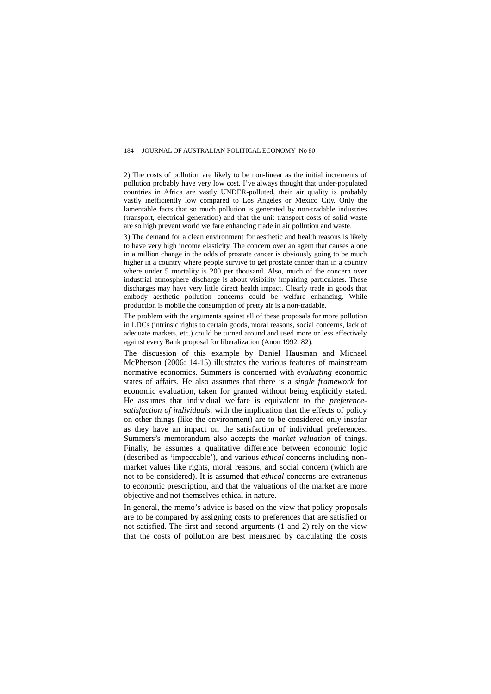2) The costs of pollution are likely to be non-linear as the initial increments of pollution probably have very low cost. I've always thought that under-populated countries in Africa are vastly UNDER-polluted, their air quality is probably vastly inefficiently low compared to Los Angeles or Mexico City. Only the lamentable facts that so much pollution is generated by non-tradable industries (transport, electrical generation) and that the unit transport costs of solid waste are so high prevent world welfare enhancing trade in air pollution and waste.

3) The demand for a clean environment for aesthetic and health reasons is likely to have very high income elasticity. The concern over an agent that causes a one in a million change in the odds of prostate cancer is obviously going to be much higher in a country where people survive to get prostate cancer than in a country where under 5 mortality is 200 per thousand. Also, much of the concern over industrial atmosphere discharge is about visibility impairing particulates. These discharges may have very little direct health impact. Clearly trade in goods that embody aesthetic pollution concerns could be welfare enhancing. While production is mobile the consumption of pretty air is a non-tradable.

The problem with the arguments against all of these proposals for more pollution in LDCs (intrinsic rights to certain goods, moral reasons, social concerns, lack of adequate markets, etc.) could be turned around and used more or less effectively against every Bank proposal for liberalization (Anon 1992: 82).

The discussion of this example by Daniel Hausman and Michael McPherson (2006: 14-15) illustrates the various features of mainstream normative economics. Summers is concerned with *evaluating* economic states of affairs. He also assumes that there is a *single framework* for economic evaluation, taken for granted without being explicitly stated. He assumes that individual welfare is equivalent to the *preferencesatisfaction of individuals*, with the implication that the effects of policy on other things (like the environment) are to be considered only insofar as they have an impact on the satisfaction of individual preferences. Summers's memorandum also accepts the *market valuation* of things. Finally, he assumes a qualitative difference between economic logic (described as 'impeccable'), and various *ethical* concerns including nonmarket values like rights, moral reasons, and social concern (which are not to be considered). It is assumed that *ethical* concerns are extraneous to economic prescription, and that the valuations of the market are more objective and not themselves ethical in nature.

In general, the memo's advice is based on the view that policy proposals are to be compared by assigning costs to preferences that are satisfied or not satisfied. The first and second arguments (1 and 2) rely on the view that the costs of pollution are best measured by calculating the costs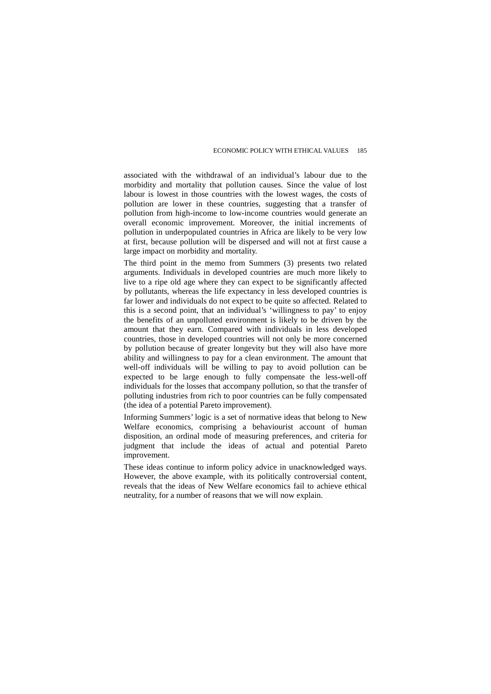associated with the withdrawal of an individual's labour due to the morbidity and mortality that pollution causes. Since the value of lost labour is lowest in those countries with the lowest wages, the costs of pollution are lower in these countries, suggesting that a transfer of pollution from high-income to low-income countries would generate an overall economic improvement. Moreover, the initial increments of pollution in underpopulated countries in Africa are likely to be very low at first, because pollution will be dispersed and will not at first cause a large impact on morbidity and mortality.

The third point in the memo from Summers (3) presents two related arguments. Individuals in developed countries are much more likely to live to a ripe old age where they can expect to be significantly affected by pollutants, whereas the life expectancy in less developed countries is far lower and individuals do not expect to be quite so affected. Related to this is a second point, that an individual's 'willingness to pay' to enjoy the benefits of an unpolluted environment is likely to be driven by the amount that they earn. Compared with individuals in less developed countries, those in developed countries will not only be more concerned by pollution because of greater longevity but they will also have more ability and willingness to pay for a clean environment. The amount that well-off individuals will be willing to pay to avoid pollution can be expected to be large enough to fully compensate the less-well-off individuals for the losses that accompany pollution, so that the transfer of polluting industries from rich to poor countries can be fully compensated (the idea of a potential Pareto improvement).

Informing Summers' logic is a set of normative ideas that belong to New Welfare economics, comprising a behaviourist account of human disposition, an ordinal mode of measuring preferences, and criteria for judgment that include the ideas of actual and potential Pareto improvement.

These ideas continue to inform policy advice in unacknowledged ways. However, the above example, with its politically controversial content, reveals that the ideas of New Welfare economics fail to achieve ethical neutrality, for a number of reasons that we will now explain.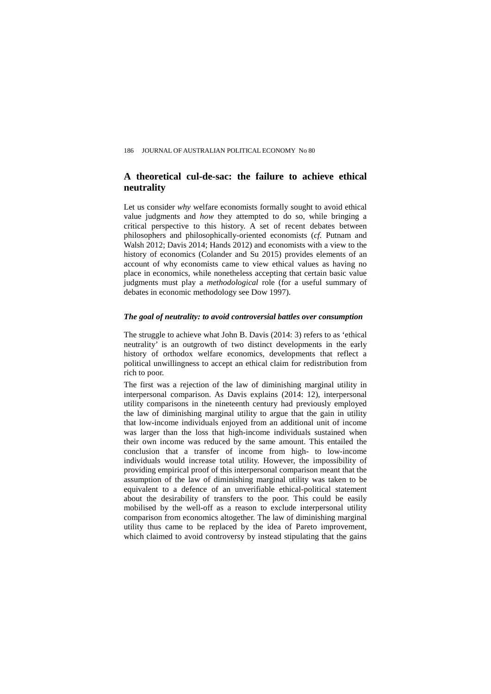## **A theoretical cul-de-sac: the failure to achieve ethical neutrality**

Let us consider *why* welfare economists formally sought to avoid ethical value judgments and *how* they attempted to do so, while bringing a critical perspective to this history. A set of recent debates between philosophers and philosophically-oriented economists (*cf.* Putnam and Walsh 2012; Davis 2014; Hands 2012) and economists with a view to the history of economics (Colander and Su 2015) provides elements of an account of why economists came to view ethical values as having no place in economics, while nonetheless accepting that certain basic value judgments must play a *methodological* role (for a useful summary of debates in economic methodology see Dow 1997).

#### *The goal of neutrality: to avoid controversial battles over consumption*

The struggle to achieve what John B. Davis (2014: 3) refers to as 'ethical neutrality' is an outgrowth of two distinct developments in the early history of orthodox welfare economics, developments that reflect a political unwillingness to accept an ethical claim for redistribution from rich to poor.

The first was a rejection of the law of diminishing marginal utility in interpersonal comparison. As Davis explains (2014: 12), interpersonal utility comparisons in the nineteenth century had previously employed the law of diminishing marginal utility to argue that the gain in utility that low-income individuals enjoyed from an additional unit of income was larger than the loss that high-income individuals sustained when their own income was reduced by the same amount. This entailed the conclusion that a transfer of income from high- to low-income individuals would increase total utility. However, the impossibility of providing empirical proof of this interpersonal comparison meant that the assumption of the law of diminishing marginal utility was taken to be equivalent to a defence of an unverifiable ethical-political statement about the desirability of transfers to the poor. This could be easily mobilised by the well-off as a reason to exclude interpersonal utility comparison from economics altogether. The law of diminishing marginal utility thus came to be replaced by the idea of Pareto improvement, which claimed to avoid controversy by instead stipulating that the gains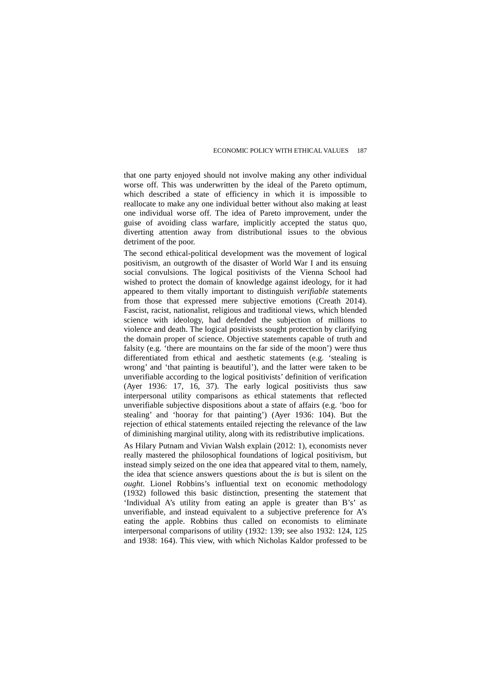that one party enjoyed should not involve making any other individual worse off. This was underwritten by the ideal of the Pareto optimum, which described a state of efficiency in which it is impossible to reallocate to make any one individual better without also making at least one individual worse off. The idea of Pareto improvement, under the guise of avoiding class warfare, implicitly accepted the status quo, diverting attention away from distributional issues to the obvious detriment of the poor.

The second ethical-political development was the movement of logical positivism, an outgrowth of the disaster of World War I and its ensuing social convulsions. The logical positivists of the Vienna School had wished to protect the domain of knowledge against ideology, for it had appeared to them vitally important to distinguish *verifiable* statements from those that expressed mere subjective emotions (Creath 2014). Fascist, racist, nationalist, religious and traditional views, which blended science with ideology, had defended the subjection of millions to violence and death. The logical positivists sought protection by clarifying the domain proper of science. Objective statements capable of truth and falsity (e.g. 'there are mountains on the far side of the moon') were thus differentiated from ethical and aesthetic statements (e.g. 'stealing is wrong' and 'that painting is beautiful'), and the latter were taken to be unverifiable according to the logical positivists' definition of verification (Ayer 1936: 17, 16, 37). The early logical positivists thus saw interpersonal utility comparisons as ethical statements that reflected unverifiable subjective dispositions about a state of affairs (e.g. 'boo for stealing' and 'hooray for that painting') (Ayer 1936: 104). But the rejection of ethical statements entailed rejecting the relevance of the law of diminishing marginal utility, along with its redistributive implications.

As Hilary Putnam and Vivian Walsh explain (2012: 1), economists never really mastered the philosophical foundations of logical positivism, but instead simply seized on the one idea that appeared vital to them, namely, the idea that science answers questions about the *is* but is silent on the *ought*. Lionel Robbins's influential text on economic methodology (1932) followed this basic distinction, presenting the statement that 'Individual A's utility from eating an apple is greater than B's' as unverifiable, and instead equivalent to a subjective preference for A's eating the apple. Robbins thus called on economists to eliminate interpersonal comparisons of utility (1932: 139; see also 1932: 124, 125 and 1938: 164). This view, with which Nicholas Kaldor professed to be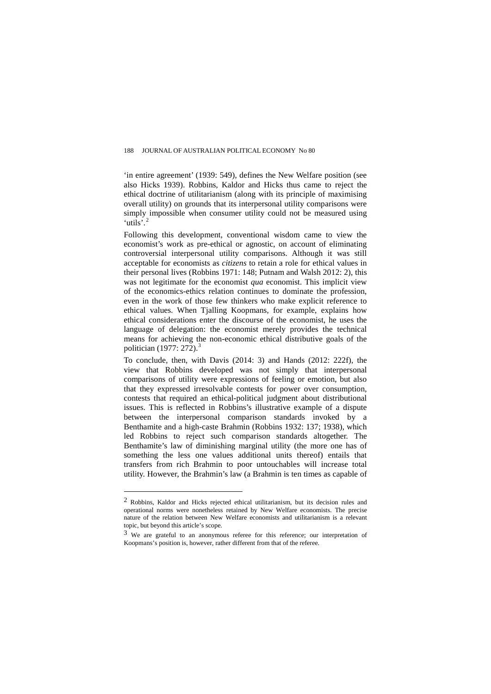'in entire agreement' (1939: 549), defines the New Welfare position (see also Hicks 1939). Robbins, Kaldor and Hicks thus came to reject the ethical doctrine of utilitarianism (along with its principle of maximising overall utility) on grounds that its interpersonal utility comparisons were simply impossible when consumer utility could not be measured using 'utils'.<sup>[2](#page-10-0)</sup>

Following this development, conventional wisdom came to view the economist's work as pre-ethical or agnostic, on account of eliminating controversial interpersonal utility comparisons. Although it was still acceptable for economists as *citizens* to retain a role for ethical values in their personal lives (Robbins 1971: 148; Putnam and Walsh 2012: 2), this was not legitimate for the economist *qua* economist. This implicit view of the economics-ethics relation continues to dominate the profession, even in the work of those few thinkers who make explicit reference to ethical values. When Tjalling Koopmans, for example, explains how ethical considerations enter the discourse of the economist, he uses the language of delegation: the economist merely provides the technical means for achieving the non-economic ethical distributive goals of the politician (1977: 272). $3$ 

To conclude, then, with Davis (2014: 3) and Hands (2012: 222f), the view that Robbins developed was not simply that interpersonal comparisons of utility were expressions of feeling or emotion, but also that they expressed irresolvable contests for power over consumption, contests that required an ethical-political judgment about distributional issues. This is reflected in Robbins's illustrative example of a dispute between the interpersonal comparison standards invoked by a Benthamite and a high-caste Brahmin (Robbins 1932: 137; 1938), which led Robbins to reject such comparison standards altogether. The Benthamite's law of diminishing marginal utility (the more one has of something the less one values additional units thereof) entails that transfers from rich Brahmin to poor untouchables will increase total utility. However, the Brahmin's law (a Brahmin is ten times as capable of

<span id="page-10-0"></span><sup>2</sup> Robbins, Kaldor and Hicks rejected ethical utilitarianism, but its decision rules and operational norms were nonetheless retained by New Welfare economists. The precise nature of the relation between New Welfare economists and utilitarianism is a relevant topic, but beyond this article's scope.

<span id="page-10-1"></span><sup>3</sup> We are grateful to an anonymous referee for this reference; our interpretation of Koopmans's position is, however, rather different from that of the referee.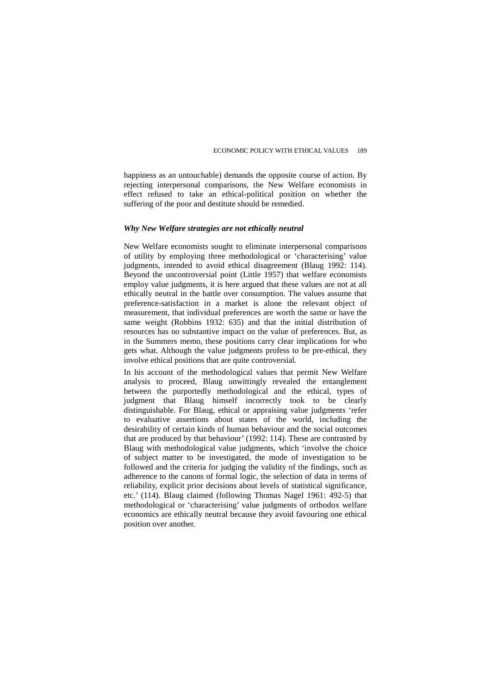happiness as an untouchable) demands the opposite course of action. By rejecting interpersonal comparisons, the New Welfare economists in effect refused to take an ethical-political position on whether the suffering of the poor and destitute should be remedied.

#### *Why New Welfare strategies are not ethically neutral*

New Welfare economists sought to eliminate interpersonal comparisons of utility by employing three methodological or 'characterising' value judgments, intended to avoid ethical disagreement (Blaug 1992: 114). Beyond the uncontroversial point (Little 1957) that welfare economists employ value judgments, it is here argued that these values are not at all ethically neutral in the battle over consumption. The values assume that preference-satisfaction in a market is alone the relevant object of measurement, that individual preferences are worth the same or have the same weight (Robbins 1932: 635) and that the initial distribution of resources has no substantive impact on the value of preferences. But, as in the Summers memo, these positions carry clear implications for who gets what. Although the value judgments profess to be pre-ethical, they involve ethical positions that are quite controversial.

In his account of the methodological values that permit New Welfare analysis to proceed, Blaug unwittingly revealed the entanglement between the purportedly methodological and the ethical, types of judgment that Blaug himself incorrectly took to be clearly distinguishable. For Blaug, ethical or appraising value judgments 'refer to evaluative assertions about states of the world, including the desirability of certain kinds of human behaviour and the social outcomes that are produced by that behaviour' (1992: 114). These are contrasted by Blaug with methodological value judgments, which 'involve the choice of subject matter to be investigated, the mode of investigation to be followed and the criteria for judging the validity of the findings, such as adherence to the canons of formal logic, the selection of data in terms of reliability, explicit prior decisions about levels of statistical significance, etc.' (114). Blaug claimed (following Thomas Nagel 1961: 492-5) that methodological or 'characterising' value judgments of orthodox welfare economics are ethically neutral because they avoid favouring one ethical position over another.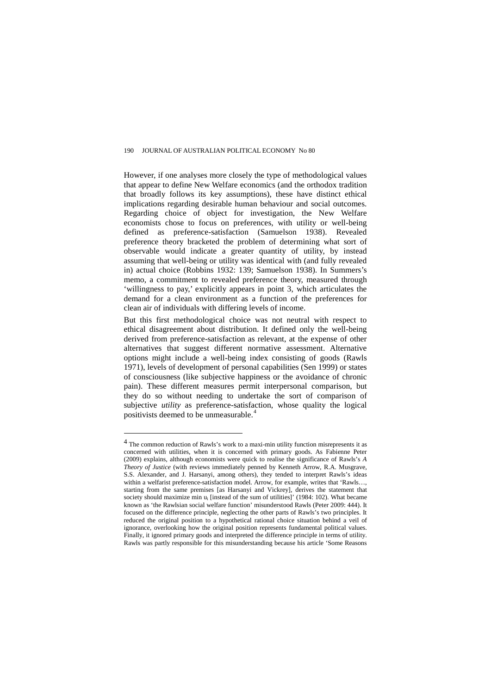However, if one analyses more closely the type of methodological values that appear to define New Welfare economics (and the orthodox tradition that broadly follows its key assumptions), these have distinct ethical implications regarding desirable human behaviour and social outcomes. Regarding choice of object for investigation, the New Welfare economists chose to focus on preferences, with utility or well-being defined as preference-satisfaction (Samuelson 1938). Revealed preference theory bracketed the problem of determining what sort of observable would indicate a greater quantity of utility, by instead assuming that well-being or utility was identical with (and fully revealed in) actual choice (Robbins 1932: 139; Samuelson 1938). In Summers's memo, a commitment to revealed preference theory, measured through 'willingness to pay,' explicitly appears in point 3, which articulates the demand for a clean environment as a function of the preferences for clean air of individuals with differing levels of income.

But this first methodological choice was not neutral with respect to ethical disagreement about distribution. It defined only the well-being derived from preference-satisfaction as relevant, at the expense of other alternatives that suggest different normative assessment. Alternative options might include a well-being index consisting of goods (Rawls 1971), levels of development of personal capabilities (Sen 1999) or states of consciousness (like subjective happiness or the avoidance of chronic pain). These different measures permit interpersonal comparison, but they do so without needing to undertake the sort of comparison of subjective *utility* as preference-satisfaction, whose quality the logical positivists deemed to be unmeasurable.[4](#page-12-0)

<span id="page-12-0"></span><sup>4</sup> The common reduction of Rawls's work to a maxi-min utility function misrepresents it as concerned with utilities, when it is concerned with primary goods. As Fabienne Peter (2009) explains, although economists were quick to realise the significance of Rawls's *A Theory of Justice* (with reviews immediately penned by Kenneth Arrow, R.A. Musgrave, S.S. Alexander, and J. Harsanyi, among others), they tended to interpret Rawls's ideas within a welfarist preference-satisfaction model. Arrow, for example, writes that 'Rawls…, starting from the same premises [as Harsanyi and Vickrey], derives the statement that society should maximize min  $u_i$  [instead of the sum of utilities]' (1984: 102). What became known as 'the Rawlsian social welfare function' misunderstood Rawls (Peter 2009: 444). It focused on the difference principle, neglecting the other parts of Rawls's two principles. It reduced the original position to a hypothetical rational choice situation behind a veil of ignorance, overlooking how the original position represents fundamental political values. Finally, it ignored primary goods and interpreted the difference principle in terms of utility. Rawls was partly responsible for this misunderstanding because his article 'Some Reasons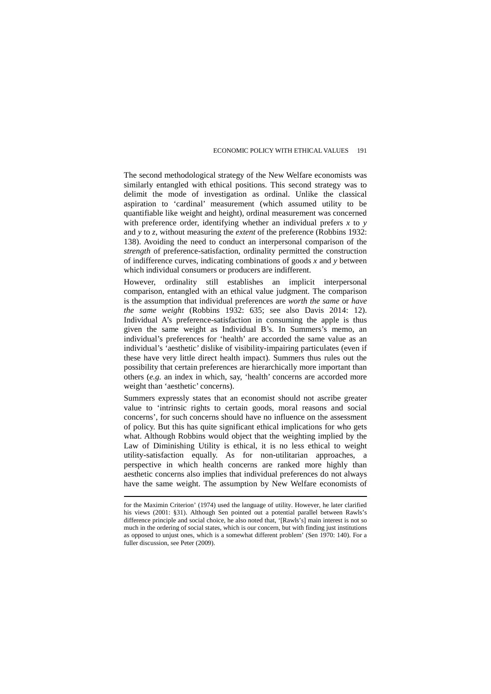The second methodological strategy of the New Welfare economists was similarly entangled with ethical positions. This second strategy was to delimit the mode of investigation as ordinal. Unlike the classical aspiration to 'cardinal' measurement (which assumed utility to be quantifiable like weight and height), ordinal measurement was concerned with preference order, identifying whether an individual prefers  $x$  to  $y$ and *y* to *z*, without measuring the *extent* of the preference (Robbins 1932: 138). Avoiding the need to conduct an interpersonal comparison of the *strength* of preference-satisfaction, ordinality permitted the construction of indifference curves, indicating combinations of goods *x* and *y* between which individual consumers or producers are indifferent.

However, ordinality still establishes an implicit interpersonal comparison, entangled with an ethical value judgment. The comparison is the assumption that individual preferences are *worth the same* or *have the same weight* (Robbins 1932: 635; see also Davis 2014: 12). Individual A's preference-satisfaction in consuming the apple is thus given the same weight as Individual B's. In Summers's memo, an individual's preferences for 'health' are accorded the same value as an individual's 'aesthetic' dislike of visibility-impairing particulates (even if these have very little direct health impact). Summers thus rules out the possibility that certain preferences are hierarchically more important than others (*e.g.* an index in which, say, 'health' concerns are accorded more weight than 'aesthetic' concerns).

Summers expressly states that an economist should not ascribe greater value to 'intrinsic rights to certain goods, moral reasons and social concerns', for such concerns should have no influence on the assessment of policy. But this has quite significant ethical implications for who gets what. Although Robbins would object that the weighting implied by the Law of Diminishing Utility is ethical, it is no less ethical to weight utility-satisfaction equally. As for non-utilitarian approaches, a perspective in which health concerns are ranked more highly than aesthetic concerns also implies that individual preferences do not always have the same weight. The assumption by New Welfare economists of

for the Maximin Criterion' (1974) used the language of utility. However, he later clarified his views (2001: §31). Although Sen pointed out a potential parallel between Rawls's difference principle and social choice, he also noted that, '[Rawls's] main interest is not so much in the ordering of social states, which is our concern, but with finding just institutions as opposed to unjust ones, which is a somewhat different problem' (Sen 1970: 140). For a fuller discussion, see Peter (2009).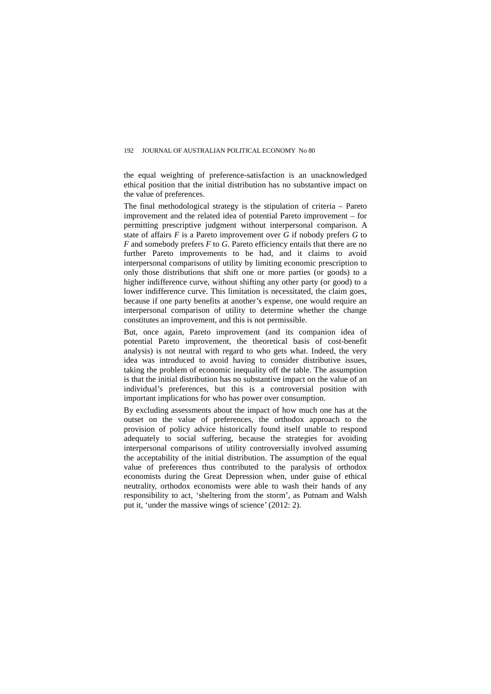the equal weighting of preference-satisfaction is an unacknowledged ethical position that the initial distribution has no substantive impact on the value of preferences.

The final methodological strategy is the stipulation of criteria – Pareto improvement and the related idea of potential Pareto improvement – for permitting prescriptive judgment without interpersonal comparison. A state of affairs *F* is a Pareto improvement over *G* if nobody prefers *G* to *F* and somebody prefers *F* to *G*. Pareto efficiency entails that there are no further Pareto improvements to be had, and it claims to avoid interpersonal comparisons of utility by limiting economic prescription to only those distributions that shift one or more parties (or goods) to a higher indifference curve, without shifting any other party (or good) to a lower indifference curve. This limitation is necessitated, the claim goes, because if one party benefits at another's expense, one would require an interpersonal comparison of utility to determine whether the change constitutes an improvement, and this is not permissible.

But, once again, Pareto improvement (and its companion idea of potential Pareto improvement, the theoretical basis of cost-benefit analysis) is not neutral with regard to who gets what. Indeed, the very idea was introduced to avoid having to consider distributive issues, taking the problem of economic inequality off the table. The assumption is that the initial distribution has no substantive impact on the value of an individual's preferences, but this is a controversial position with important implications for who has power over consumption.

By excluding assessments about the impact of how much one has at the outset on the value of preferences, the orthodox approach to the provision of policy advice historically found itself unable to respond adequately to social suffering, because the strategies for avoiding interpersonal comparisons of utility controversially involved assuming the acceptability of the initial distribution. The assumption of the equal value of preferences thus contributed to the paralysis of orthodox economists during the Great Depression when, under guise of ethical neutrality, orthodox economists were able to wash their hands of any responsibility to act, 'sheltering from the storm', as Putnam and Walsh put it, 'under the massive wings of science' (2012: 2).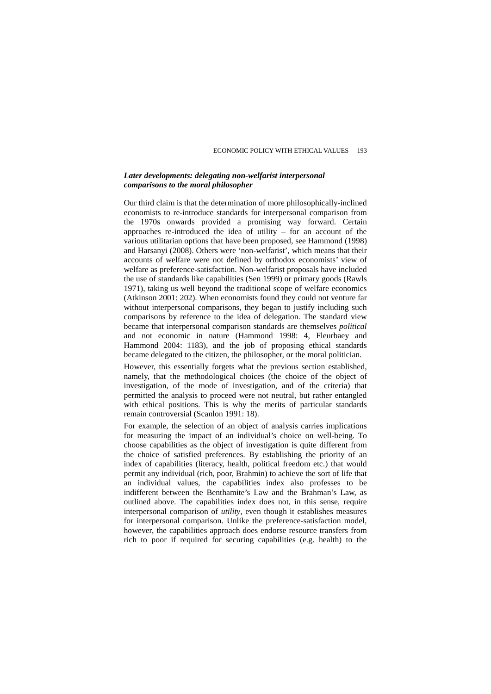### *Later developments: delegating non-welfarist interpersonal comparisons to the moral philosopher*

Our third claim is that the determination of more philosophically-inclined economists to re-introduce standards for interpersonal comparison from the 1970s onwards provided a promising way forward. Certain approaches re-introduced the idea of utility – for an account of the various utilitarian options that have been proposed, see Hammond (1998) and Harsanyi (2008). Others were 'non-welfarist', which means that their accounts of welfare were not defined by orthodox economists' view of welfare as preference-satisfaction. Non-welfarist proposals have included the use of standards like capabilities (Sen 1999) or primary goods (Rawls 1971), taking us well beyond the traditional scope of welfare economics (Atkinson 2001: 202). When economists found they could not venture far without interpersonal comparisons, they began to justify including such comparisons by reference to the idea of delegation. The standard view became that interpersonal comparison standards are themselves *political* and not economic in nature (Hammond 1998: 4, Fleurbaey and Hammond 2004: 1183), and the job of proposing ethical standards became delegated to the citizen, the philosopher, or the moral politician.

However, this essentially forgets what the previous section established, namely, that the methodological choices (the choice of the object of investigation, of the mode of investigation, and of the criteria) that permitted the analysis to proceed were not neutral, but rather entangled with ethical positions. This is why the merits of particular standards remain controversial (Scanlon 1991: 18).

For example, the selection of an object of analysis carries implications for measuring the impact of an individual's choice on well-being. To choose capabilities as the object of investigation is quite different from the choice of satisfied preferences. By establishing the priority of an index of capabilities (literacy, health, political freedom etc.) that would permit any individual (rich, poor, Brahmin) to achieve the sort of life that an individual values, the capabilities index also professes to be indifferent between the Benthamite's Law and the Brahman's Law, as outlined above. The capabilities index does not, in this sense, require interpersonal comparison of *utility*, even though it establishes measures for interpersonal comparison. Unlike the preference-satisfaction model, however, the capabilities approach does endorse resource transfers from rich to poor if required for securing capabilities (e.g. health) to the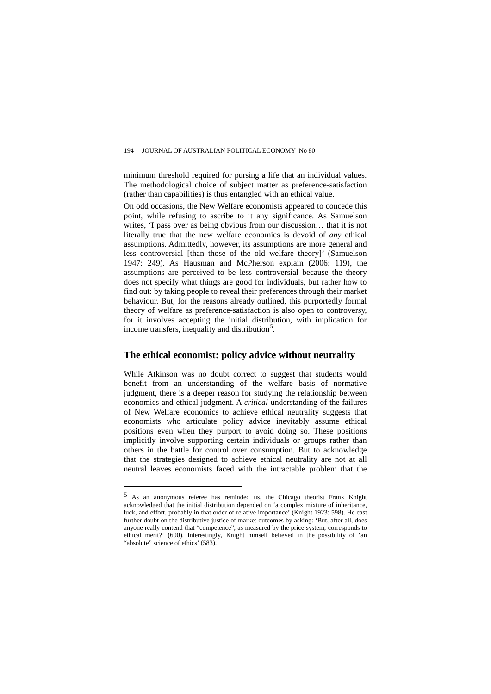minimum threshold required for pursing a life that an individual values. The methodological choice of subject matter as preference-satisfaction (rather than capabilities) is thus entangled with an ethical value.

On odd occasions, the New Welfare economists appeared to concede this point, while refusing to ascribe to it any significance. As Samuelson writes, 'I pass over as being obvious from our discussion… that it is not literally true that the new welfare economics is devoid of *any* ethical assumptions. Admittedly, however, its assumptions are more general and less controversial [than those of the old welfare theory]' (Samuelson 1947: 249). As Hausman and McPherson explain (2006: 119), the assumptions are perceived to be less controversial because the theory does not specify what things are good for individuals, but rather how to find out: by taking people to reveal their preferences through their market behaviour. But, for the reasons already outlined, this purportedly formal theory of welfare as preference-satisfaction is also open to controversy, for it involves accepting the initial distribution, with implication for income transfers, inequality and distribution<sup>[5](#page-16-0)</sup>.

### **The ethical economist: policy advice without neutrality**

While Atkinson was no doubt correct to suggest that students would benefit from an understanding of the welfare basis of normative judgment, there is a deeper reason for studying the relationship between economics and ethical judgment. A *critical* understanding of the failures of New Welfare economics to achieve ethical neutrality suggests that economists who articulate policy advice inevitably assume ethical positions even when they purport to avoid doing so. These positions implicitly involve supporting certain individuals or groups rather than others in the battle for control over consumption. But to acknowledge that the strategies designed to achieve ethical neutrality are not at all neutral leaves economists faced with the intractable problem that the

<span id="page-16-0"></span><sup>5</sup> As an anonymous referee has reminded us, the Chicago theorist Frank Knight acknowledged that the initial distribution depended on 'a complex mixture of inheritance, luck, and effort, probably in that order of relative importance' (Knight 1923: 598). He cast further doubt on the distributive justice of market outcomes by asking: 'But, after all, does anyone really contend that "competence", as measured by the price system, corresponds to ethical merit?' (600). Interestingly, Knight himself believed in the possibility of 'an "absolute" science of ethics' (583).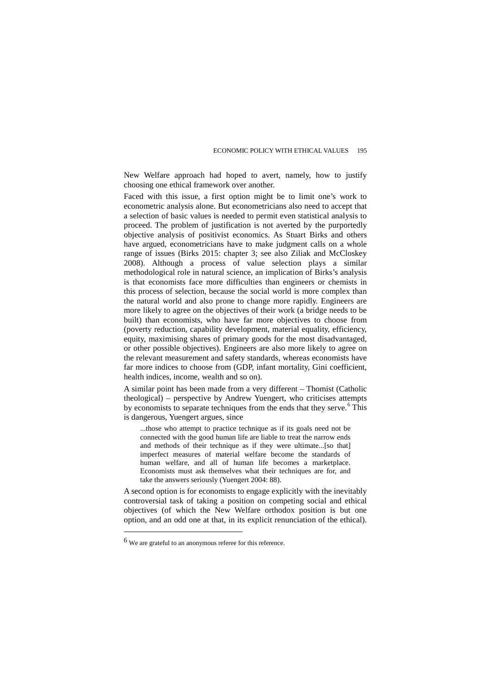New Welfare approach had hoped to avert, namely, how to justify choosing one ethical framework over another.

Faced with this issue, a first option might be to limit one's work to econometric analysis alone. But econometricians also need to accept that a selection of basic values is needed to permit even statistical analysis to proceed. The problem of justification is not averted by the purportedly objective analysis of positivist economics. As Stuart Birks and others have argued, econometricians have to make judgment calls on a whole range of issues (Birks 2015: chapter 3; see also Ziliak and McCloskey 2008). Although a process of value selection plays a similar methodological role in natural science, an implication of Birks's analysis is that economists face more difficulties than engineers or chemists in this process of selection, because the social world is more complex than the natural world and also prone to change more rapidly. Engineers are more likely to agree on the objectives of their work (a bridge needs to be built) than economists, who have far more objectives to choose from (poverty reduction, capability development, material equality, efficiency, equity, maximising shares of primary goods for the most disadvantaged, or other possible objectives). Engineers are also more likely to agree on the relevant measurement and safety standards, whereas economists have far more indices to choose from (GDP, infant mortality, Gini coefficient, health indices, income, wealth and so on).

A similar point has been made from a very different – Thomist (Catholic theological) – perspective by Andrew Yuengert, who criticises attempts by economists to separate techniques from the ends that they serve.<sup>[6](#page-17-0)</sup> This is dangerous, Yuengert argues, since

...those who attempt to practice technique as if its goals need not be connected with the good human life are liable to treat the narrow ends and methods of their technique as if they were ultimate...[so that] imperfect measures of material welfare become the standards of human welfare, and all of human life becomes a marketplace. Economists must ask themselves what their techniques are for, and take the answers seriously (Yuengert 2004: 88).

A second option is for economists to engage explicitly with the inevitably controversial task of taking a position on competing social and ethical objectives (of which the New Welfare orthodox position is but one option, and an odd one at that, in its explicit renunciation of the ethical).

<span id="page-17-0"></span><sup>6</sup> We are grateful to an anonymous referee for this reference.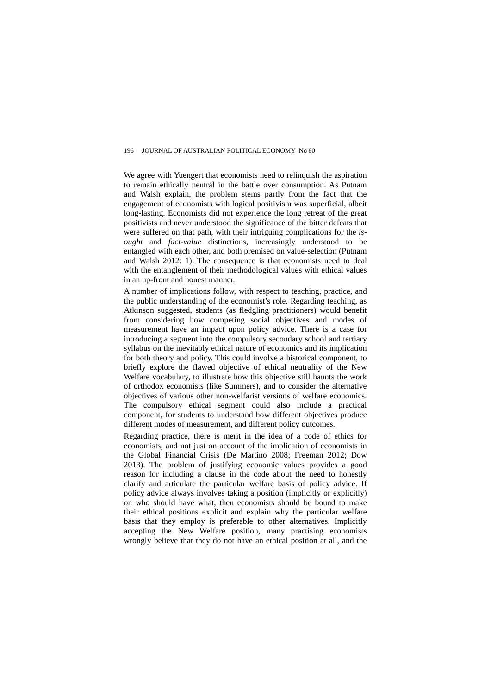We agree with Yuengert that economists need to relinquish the aspiration to remain ethically neutral in the battle over consumption. As Putnam and Walsh explain, the problem stems partly from the fact that the engagement of economists with logical positivism was superficial, albeit long-lasting. Economists did not experience the long retreat of the great positivists and never understood the significance of the bitter defeats that were suffered on that path, with their intriguing complications for the *isought* and *fact*-*value* distinctions, increasingly understood to be entangled with each other, and both premised on value-selection (Putnam and Walsh 2012: 1). The consequence is that economists need to deal with the entanglement of their methodological values with ethical values in an up-front and honest manner.

A number of implications follow, with respect to teaching, practice, and the public understanding of the economist's role. Regarding teaching, as Atkinson suggested, students (as fledgling practitioners) would benefit from considering how competing social objectives and modes of measurement have an impact upon policy advice. There is a case for introducing a segment into the compulsory secondary school and tertiary syllabus on the inevitably ethical nature of economics and its implication for both theory and policy. This could involve a historical component, to briefly explore the flawed objective of ethical neutrality of the New Welfare vocabulary, to illustrate how this objective still haunts the work of orthodox economists (like Summers), and to consider the alternative objectives of various other non-welfarist versions of welfare economics. The compulsory ethical segment could also include a practical component, for students to understand how different objectives produce different modes of measurement, and different policy outcomes.

Regarding practice, there is merit in the idea of a code of ethics for economists, and not just on account of the implication of economists in the Global Financial Crisis (De Martino 2008; Freeman 2012; Dow 2013). The problem of justifying economic values provides a good reason for including a clause in the code about the need to honestly clarify and articulate the particular welfare basis of policy advice. If policy advice always involves taking a position (implicitly or explicitly) on who should have what, then economists should be bound to make their ethical positions explicit and explain why the particular welfare basis that they employ is preferable to other alternatives. Implicitly accepting the New Welfare position, many practising economists wrongly believe that they do not have an ethical position at all, and the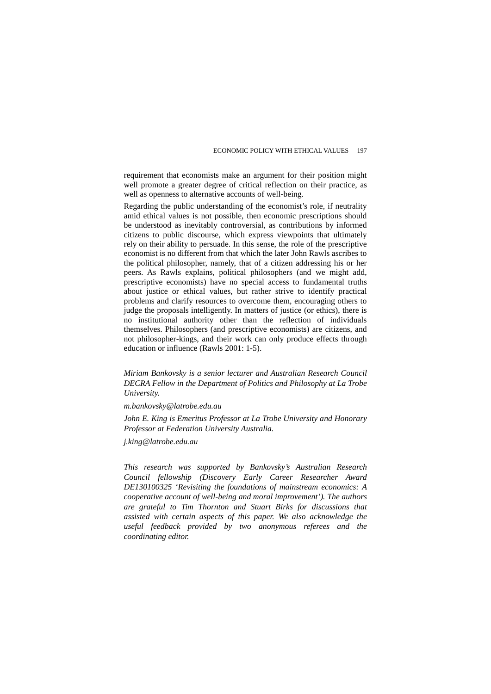requirement that economists make an argument for their position might well promote a greater degree of critical reflection on their practice, as well as openness to alternative accounts of well-being.

Regarding the public understanding of the economist's role, if neutrality amid ethical values is not possible, then economic prescriptions should be understood as inevitably controversial, as contributions by informed citizens to public discourse, which express viewpoints that ultimately rely on their ability to persuade. In this sense, the role of the prescriptive economist is no different from that which the later John Rawls ascribes to the political philosopher, namely, that of a citizen addressing his or her peers. As Rawls explains, political philosophers (and we might add, prescriptive economists) have no special access to fundamental truths about justice or ethical values, but rather strive to identify practical problems and clarify resources to overcome them, encouraging others to judge the proposals intelligently. In matters of justice (or ethics), there is no institutional authority other than the reflection of individuals themselves. Philosophers (and prescriptive economists) are citizens, and not philosopher-kings, and their work can only produce effects through education or influence (Rawls 2001: 1-5).

*Miriam Bankovsky is a senior lecturer and Australian Research Council DECRA Fellow in the Department of Politics and Philosophy at La Trobe University.*

#### *[m.bankovsky@latrobe.edu.au](mailto:m.bankovsky@latrobe.edu.au)*

*John E. King is Emeritus Professor at La Trobe University and Honorary Professor at Federation University Australia.*

### *[j.king@latrobe.edu.au](mailto:j.king@latrobe.edu.au)*

*This research was supported by Bankovsky's Australian Research Council fellowship (Discovery Early Career Researcher Award DE130100325 'Revisiting the foundations of mainstream economics: A cooperative account of well-being and moral improvement'). The authors are grateful to Tim Thornton and Stuart Birks for discussions that assisted with certain aspects of this paper. We also acknowledge the useful feedback provided by two anonymous referees and the coordinating editor.*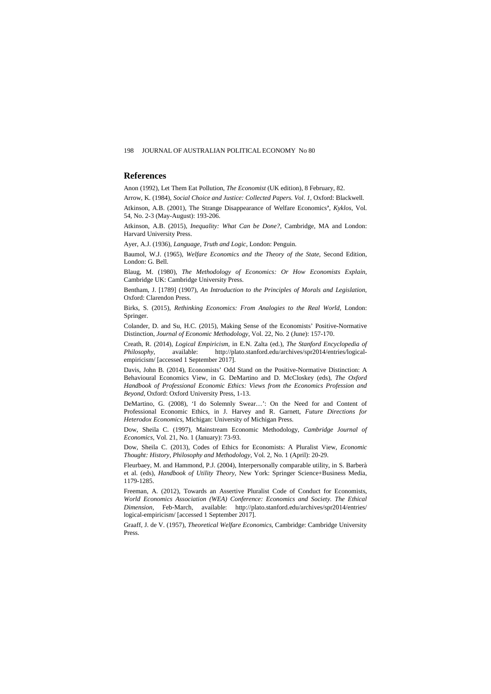#### **References**

Anon (1992), Let Them Eat Pollution, *The Economist* (UK edition), 8 February, 82.

Arrow, K. (1984), *Social Choice and Justice: Collected Papers. Vol. 1*, Oxford: Blackwell. Atkinson, A.B. (2001), The Strange Disappearance of Welfare Economics**'**, *Kyklos*, Vol. 54, No. 2-3 (May-August): 193-206.

Atkinson, A.B. (2015), *Inequality: What Can be Done?*, Cambridge, MA and London: Harvard University Press.

Ayer, A.J. (1936), *Language, Truth and Logic*, London: Penguin.

Baumol, W.J. (1965), *Welfare Economics and the Theory of the State*, Second Edition, London: G. Bell.

Blaug, M. (1980), *The Methodology of Economics: Or How Economists Explain*, Cambridge UK: Cambridge University Press.

Bentham, J. [1789] (1907), *An Introduction to the Principles of Morals and Legislation*, Oxford: Clarendon Press.

Birks, S. (2015), *Rethinking Economics: From Analogies to the Real World*, London: Springer.

Colander, D. and Su, H.C. (2015), Making Sense of the Economists' Positive-Normative Distinction, *Journal of Economic Methodology*, Vol. 22, No. 2 (June): 157-170.

Creath, R. (2014), *Logical Empiricism*, in E.N. Zalta (ed.), *The Stanford Encyclopedia of Philosophy*, available: http://plato.stanford.edu/archives/spr2014/entries/logicalempiricism/ [accessed 1 September 2017].

Davis, John B. (2014), Economists' Odd Stand on the Positive-Normative Distinction: A Behavioural Economics View, in G. DeMartino and D. McCloskey (eds), *The Oxford Handbook of Professional Economic Ethics: Views from the Economics Profession and Beyond*, Oxford: Oxford University Press, 1-13.

DeMartino, G. (2008), 'I do Solemnly Swear…': On the Need for and Content of Professional Economic Ethics, in J. Harvey and R. Garnett, *Future Directions for Heterodox Economics*, Michigan: University of Michigan Press.

Dow, Sheila C. (1997), Mainstream Economic Methodology, *Cambridge Journal of Economics*, Vol. 21, No. 1 (January): 73-93.

Dow, Sheila C. (2013), Codes of Ethics for Economists: A Pluralist View, *Economic Thought: History, Philosophy and Methodology*, Vol. 2, No. 1 (April): 20-29.

Fleurbaey, M. and Hammond, P.J. (2004), Interpersonally comparable utility, in S. Barberà et al. (eds), *Handbook of Utility Theory*, New York: Springer Science+Business Media, 1179-1285.

Freeman, A. (2012), Towards an Assertive Pluralist Code of Conduct for Economists, *World Economics Association (WEA) Conference: Economics and Society. The Ethical Dimension,* Feb-March, available: http://plato.stanford.edu/archives/spr2014/entries/ logical-empiricism/ [accessed 1 September 2017].

Graaff, J. de V. (1957), *Theoretical Welfare Economics*, Cambridge: Cambridge University Press.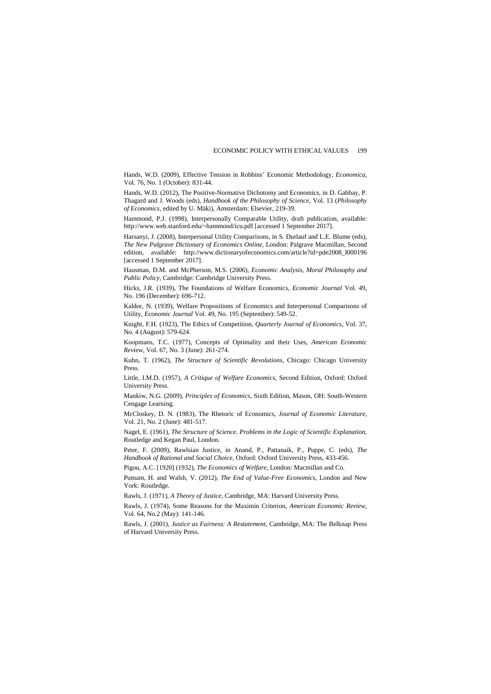Hands, W.D. (2009), Effective Tension in Robbins' Economic Methodology, *Economica*, Vol. 76, No. 1 (October): 831-44.

Hands, W.D. (2012), The Positive-Normative Dichotomy and Economics, in D. Gabbay, P. Thagard and J. Woods (eds), *Handbook of the Philosophy of Science*, Vol. 13 (*Philosophy of Economics*, edited by U. Mäki), Amsterdam: Elsevier, 219-39.

Hammond, P.J. (1998), Interpersonally Comparable Utility, draft publication, available: http://www.web.stanford.edu/~hammond/icu.pdf [accessed 1 September 2017].

Harsanyi, J. (2008), Interpersonal Utility Comparisons, in S. Durlauf and L.E. Blume (eds), *The New Palgrave Dictionary of Economics Online*, London: Palgrave Macmillan, Second edition, available: http://www.dictionaryofeconomics.com/article?id=pde2008\_I000196 [accessed 1 September 2017].

Hausman, D.M. and McPherson, M.S. (2006), *Economic Analysis, Moral Philosophy and Public Policy*, Cambridge: Cambridge University Press.

Hicks, J.R. (1939), The Foundations of Welfare Economics, *Economic Journal* Vol. 49, No. 196 (December): 696-712.

Kaldor, N. (1939), Welfare Propositions of Economics and Interpersonal Comparisons of Utility, *Economic Journal* Vol. 49, No. 195 (September): 549-52.

Knight, F.H. (1923), The Ethics of Competition, *Quarterly Journal of Economics*, Vol. 37, No. 4 (August): 579-624.

Koopmans, T.C. (1977), Concepts of Optimality and their Uses, *American Economic Review*, Vol. 67, No. 3 (June): 261-274.

Kuhn, T. (1962), *The Structure of Scientific Revolutions*, Chicago: Chicago University Press.

Little, I.M.D. (1957), *A Critique of Welfare Economics*, Second Edition, Oxford: Oxford University Press.

Mankiw, N.G. (2009), *Principles of Economics*, Sixth Edition, Mason, OH: South-Western Cengage Learning.

McCloskey, D. N. (1983), The Rhetoric of Economics, *Journal of Economic Literature*, Vol. 21, No. 2 (June): 481-517.

Nagel, E. (1961), *The Structure of Science. Problems in the Logic of Scientific Explanation*, Routledge and Kegan Paul, London.

Peter, F. (2009), Rawlsian Justice, in Anand, P., Pattanaik, P., Puppe, C. (eds), *The Handbook of Rational and Social Choice*, Oxford: Oxford University Press, 433-456.

Pigou, A.C. [1920] (1932), *The Economics of Welfare*, London: Macmillan and Co.

Putnam, H. and Walsh, V. (2012), *The End of Value-Free Economics*, London and New York: Routledge.

Rawls, J. (1971), *A Theory of Justice*, Cambridge, MA: Harvard University Press.

Rawls, J. (1974), Some Reasons for the Maximin Criterion, *American Economic Review*, Vol. 64, No.2 (May): 141-146.

Rawls, J. (2001), *Justice as Fairness: A Restatement*, Cambridge, MA: The Belknap Press of Harvard University Press.